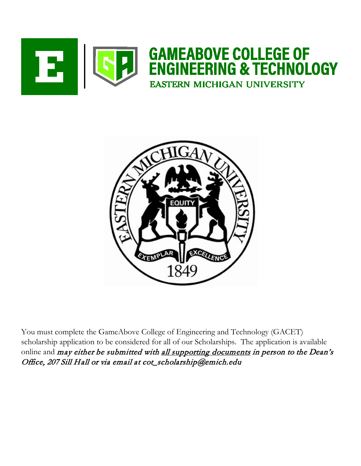



You must complete the GameAbove College of Engineering and Technology (GACET) scholarship application to be considered for all of our Scholarships. The application is available online and may either be submitted with all supporting documents in person to the Dean's Office, 207 Sill Hall or via email at cot\_scholarship@emich.edu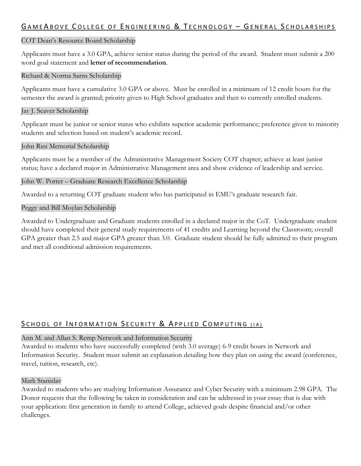# GAME ABOVE COLLEGE OF ENGINEERING & TECHNOLOGY - GENERAL SCHOLARSHIPS

### COT Dean's Resource Board Scholarship

Applicants must have a 3.0 GPA, achieve senior status during the period of the award. Student must submit a 200 word goal statement and **letter of recommendation**.

### Richard & Norma Sarns Scholarship

Applicants must have a cumulative 3.0 GPA or above. Must be enrolled in a minimum of 12 credit hours for the semester the award is granted; priority given to High School graduates and then to currently enrolled students.

#### Jay J. Seaver Scholarship

Applicant must be junior or senior status who exhibits superior academic performance; preference given to minority students and selection based on student's academic record.

#### John Rini Memorial Scholarship

Applicants must be a member of the Administrative Management Society COT chapter; achieve at least junior status; have a declared major in Administrative Management area and show evidence of leadership and service.

### John W. Porter – Graduate Research Excellence Scholarship

Awarded to a returning COT graduate student who has participated in EMU's graduate research fair.

### Peggy and Bill Moylan Scholarship

Awarded to Undergraduate and Graduate students enrolled in a declared major in the CoT. Undergraduate student should have completed their general study requirements of 41 credits and Learning beyond the Classroom; overall GPA greater than 2.5 and major GPA greater than 3.0. Graduate student should be fully admitted to their program and met all conditional admission requirements.

# SCHOOL OF INFORMATION SECURITY & APPLIED COMPUTING (IA)

# Ann M. and Allan S. Remp Network and Information Security

Awarded to students who have successfully completed (with 3.0 average) 6-9 credit hours in Network and Information Security. Student must submit an explanation detailing how they plan on using the award (conference, travel, tuition, research, etc).

#### Mark Stanislav

Awarded to students who are studying Information Assurance and Cyber Security with a minimum 2.98 GPA. The Donor requests that the following be taken in consideration and can be addressed in your essay that is due with your application: first generation in family to attend College, achieved goals despite financial and/or other challenges.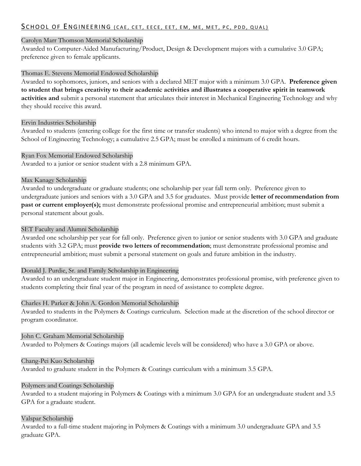# S CHOOL OF ENGINEERING (CAE, CET, EECE, EET, EM, ME, MET, PC, PDD, QUAL)

#### Carolyn Marr Thomson Memorial Scholarship

Awarded to Computer-Aided Manufacturing/Product, Design & Development majors with a cumulative 3.0 GPA; preference given to female applicants.

#### Thomas E. Stevens Memorial Endowed Scholarship

Awarded to sophomores, juniors, and seniors with a declared MET major with a minimum 3.0 GPA. **Preference given to student that brings creativity to their academic activities and illustrates a cooperative spirit in teamwork activities and** submit a personal statement that articulates their interest in Mechanical Engineering Technology and why they should receive this award.

#### Ervin Industries Scholarship

Awarded to students (entering college for the first time or transfer students) who intend to major with a degree from the School of Engineering Technology; a cumulative 2.5 GPA; must be enrolled a minimum of 6 credit hours.

#### Ryan Fox Memorial Endowed Scholarship

Awarded to a junior or senior student with a 2.8 minimum GPA.

#### Max Kanagy Scholarship

Awarded to undergraduate or graduate students; one scholarship per year fall term only. Preference given to undergraduate juniors and seniors with a 3.0 GPA and 3.5 for graduates. Must provide **letter of recommendation from past or current employer(s);** must demonstrate professional promise and entrepreneurial ambition; must submit a personal statement about goals.

#### SET Faculty and Alumni Scholarship

Awarded one scholarship per year for fall only. Preference given to junior or senior students with 3.0 GPA and graduate students with 3.2 GPA; must **provide two letters of recommendation**; must demonstrate professional promise and entrepreneurial ambition; must submit a personal statement on goals and future ambition in the industry.

#### Donald J. Purdie, Sr. and Family Scholarship in Engineering

Awarded to an undergraduate student major in Engineering, demonstrates professional promise, with preference given to students completing their final year of the program in need of assistance to complete degree.

#### Charles H. Parker & John A. Gordon Memorial Scholarship

Awarded to students in the Polymers & Coatings curriculum. Selection made at the discretion of the school director or program coordinator.

#### John C. Graham Memorial Scholarship

Awarded to Polymers & Coatings majors (all academic levels will be considered) who have a 3.0 GPA or above.

#### Chang-Pei Kuo Scholarship

Awarded to graduate student in the Polymers & Coatings curriculum with a minimum 3.5 GPA.

#### Polymers and Coatings Scholarship

Awarded to a student majoring in Polymers & Coatings with a minimum 3.0 GPA for an undergraduate student and 3.5 GPA for a graduate student.

#### Valspar Scholarship

Awarded to a full-time student majoring in Polymers & Coatings with a minimum 3.0 undergraduate GPA and 3.5 graduate GPA.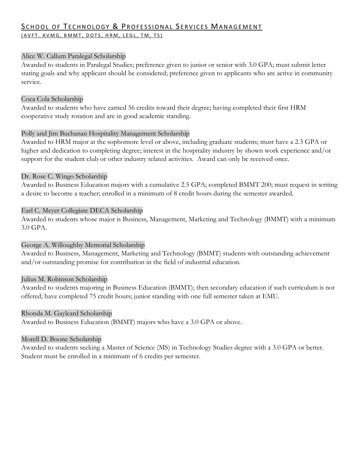# SCHOOL OF TECHNOLOGY & PROFESSIONAL SERVICES MANAGEMENT (AVFT. AVMG, BMMT, DOTS, HRM, LEGL, TM, TS)

### Alice W. Callum Paralegal Scholarship

Awarded to students in Paralegal Studies; preference given to junior or senior with 3.0 GPA; must submit letter stating goals and why applicant should be considered; preference given to applicants who are active in community service.

#### Coca Cola Scholarship

Awarded to students who have earned 56 credits toward their degree; having completed their first HRM cooperative study rotation and are in good academic standing.

### Polly and Jim Buchanan Hospitality Management Scholarship

Awarded to HRM major at the sophomore level or above, including graduate students; must have a 2.3 GPA or higher and dedication to completing degree; interest in the hospitality industry by shown work experience and/or support for the student club or other industry related activities. Award can only be received once.

### Dr. Rose C. Wingo Scholarship

Awarded to Business Education majors with a cumulative 2.5 GPA; completed BMMT 200; must request in writing a desire to become a teacher; enrolled in a minimum of 8 credit hours during the semester awarded.

### Earl C. Meyer Collegiate DECA Scholarship

Awarded to students whose major is Business, Management, Marketing and Technology (BMMT) with a minimum 3.0 GPA.

# George A. Willoughby Memorial Scholarship

Awarded to Business, Management, Marketing and Technology (BMMT) students with outstanding achievement and/or outstanding promise for contribution in the field of industrial education.

#### Julius M. Robinson Scholarship

Awarded to students majoring in Business Education (BMMT); then secondary education if such curriculum is not offered; have completed 75 credit hours; junior standing with one full semester taken at EMU.

#### Rhonda M. Gayleard Scholarship

Awarded to Business Education (BMMT) majors who have a 3.0 GPA or above.

#### Morell D. Boone Scholarship

Awarded to students seeking a Master of Science (MS) in Technology Studies degree with a 3.0 GPA or better. Student must be enrolled in a minimum of 6 credits per semester.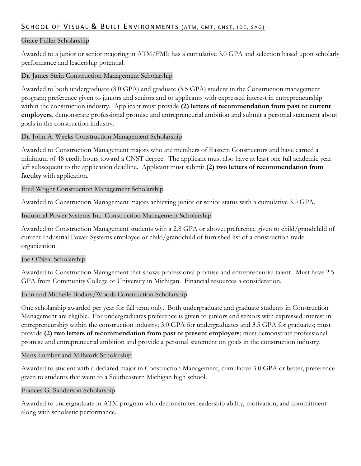# SCHOOL OF VISUAL & BUILT ENVIRONMENTS (ATM, CMT, CNST, IDE, SAG)

### Grace Fuller Scholarship

Awarded to a junior or senior majoring in ATM/FMI; has a cumulative 3.0 GPA and selection based upon scholarly performance and leadership potential.

#### Dr. James Stein Construction Management Scholarship

Awarded to both undergraduate (3.0 GPA) and graduate (3.5 GPA) student in the Construction management program; preference given to juniors and seniors and to applicants with expressed interest in entrepreneurship within the construction industry. Applicant must provide **(2) letters of recommendation from past or current employers**, demonstrate professional promise and entrepreneurial ambition and submit a personal statement about goals in the construction industry.

#### Dr. John A. Weeks Construction Management Scholarship

Awarded to Construction Management majors who are members of Eastern Constructors and have earned a minimum of 48 credit hours toward a CNST degree. The applicant must also have at least one full academic year left subsequent to the application deadline. Applicant must submit **(2) two letters of recommendation from faculty** with application.

#### Fred Wright Construction Management Scholarship

Awarded to Construction Management majors achieving junior or senior status with a cumulative 3.0 GPA.

#### Industrial Power Systems Inc. Construction Management Scholarship

Awarded to Construction Management students with a 2.8 GPA or above; preference given to child/grandchild of current Industrial Power Systems employee or child/grandchild of furnished list of a construction trade organization.

#### Joe O'Neal Scholarship

Awarded to Construction Management that shows professional promise and entrepreneurial talent. Must have 2.5 GPA from Community College or University in Michigan. Financial resources a consideration.

#### John and Michelle Bodary/Woods Construction Scholarship

One scholarship awarded per year for fall term only. Both undergraduate and graduate students in Construction Management are eligible. For undergraduates preference is given to juniors and seniors with expressed interest in entrepreneurship within the construction industry; 3.0 GPA for undergraduates and 3.5 GPA for graduates; must provide **(2) two letters of recommendation from past or present employers**; must demonstrate professional promise and entrepreneurial ambition and provide a personal statement on goals in the construction industry.

#### Mans Lumber and Millwork Scholarship

Awarded to student with a declared major in Construction Management, cumulative 3.0 GPA or better, preference given to students that went to a Southeastern Michigan high school.

#### Frances G. Sanderson Scholarship

Awarded to undergraduate in ATM program who demonstrates leadership ability, motivation, and commitment along with scholastic performance.